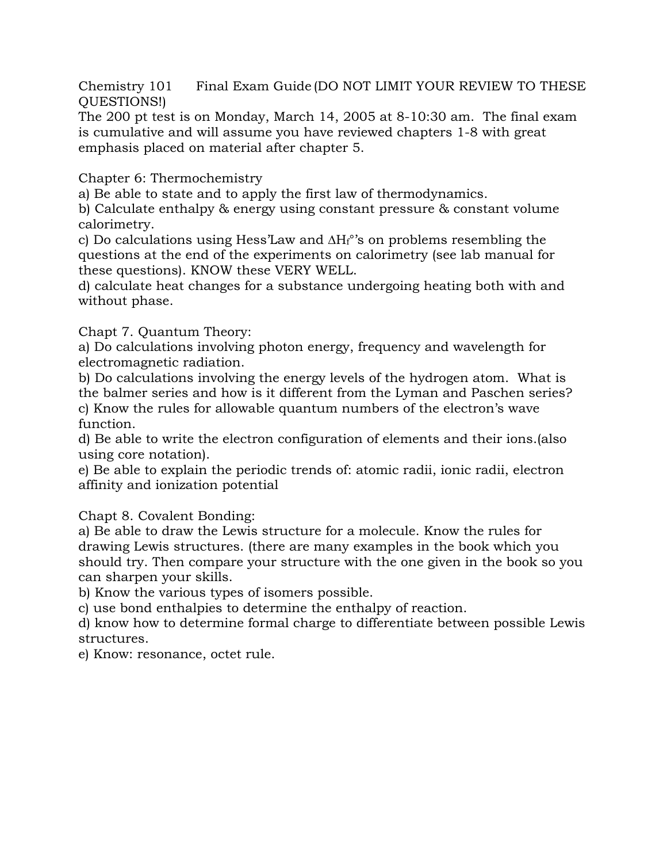Chemistry 101 Final Exam Guide (DO NOT LIMIT YOUR REVIEW TO THESE QUESTIONS!)

The 200 pt test is on Monday, March 14, 2005 at 8-10:30 am. The final exam is cumulative and will assume you have reviewed chapters 1-8 with great emphasis placed on material after chapter 5.

Chapter 6: Thermochemistry

a) Be able to state and to apply the first law of thermodynamics.

b) Calculate enthalpy & energy using constant pressure & constant volume calorimetry.

c) Do calculations using Hess'Law and  $\Delta H_f^{\circ}$ 's on problems resembling the questions at the end of the experiments on calorimetry (see lab manual for these questions). KNOW these VERY WELL.

d) calculate heat changes for a substance undergoing heating both with and without phase.

Chapt 7. Quantum Theory:

a) Do calculations involving photon energy, frequency and wavelength for electromagnetic radiation.

b) Do calculations involving the energy levels of the hydrogen atom. What is the balmer series and how is it different from the Lyman and Paschen series? c) Know the rules for allowable quantum numbers of the electron's wave function.

d) Be able to write the electron configuration of elements and their ions.(also using core notation).

e) Be able to explain the periodic trends of: atomic radii, ionic radii, electron affinity and ionization potential

Chapt 8. Covalent Bonding:

a) Be able to draw the Lewis structure for a molecule. Know the rules for drawing Lewis structures. (there are many examples in the book which you should try. Then compare your structure with the one given in the book so you can sharpen your skills.

b) Know the various types of isomers possible.

c) use bond enthalpies to determine the enthalpy of reaction.

d) know how to determine formal charge to differentiate between possible Lewis structures.

e) Know: resonance, octet rule.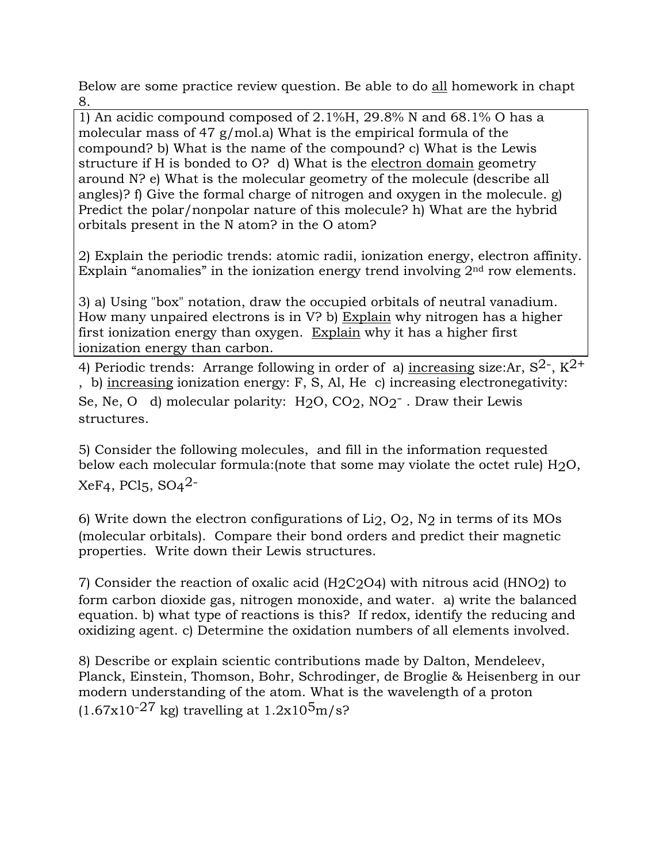Below are some practice review question. Be able to do all homework in chapt 8.

1) An acidic compound composed of 2.1%H, 29.8% N and 68.1% O has a molecular mass of 47 g/mol.a) What is the empirical formula of the compound? b) What is the name of the compound? c) What is the Lewis structure if H is bonded to O? d) What is the electron domain geometry around N? e) What is the molecular geometry of the molecule (describe all angles)? f) Give the formal charge of nitrogen and oxygen in the molecule. g) Predict the polar/nonpolar nature of this molecule? h) What are the hybrid orbitals present in the N atom? in the O atom?

2) Explain the periodic trends: atomic radii, ionization energy, electron affinity. Explain "anomalies" in the ionization energy trend involving  $2<sup>nd</sup>$  row elements.

3) a) Using "box" notation, draw the occupied orbitals of neutral vanadium. How many unpaired electrons is in V? b) Explain why nitrogen has a higher first ionization energy than oxygen. Explain why it has a higher first ionization energy than carbon.

4) Periodic trends: Arrange following in order of a) increasing size:Ar,  $S^2$ ,  $K^2$ <sup>+</sup> , b) increasing ionization energy: F, S, Al, He c) increasing electronegativity: Se, Ne, O d) molecular polarity: H<sub>2</sub>O, CO<sub>2</sub>, NO<sub>2</sub><sup>-</sup>. Draw their Lewis structures.

5) Consider the following molecules, and fill in the information requested below each molecular formula:(note that some may violate the octet rule) H2O,  $XeF4$ , PCl<sub>5</sub>, SO<sub>4</sub><sup>2-</sup>

6) Write down the electron configurations of Li2, O2, N2 in terms of its MOs (molecular orbitals). Compare their bond orders and predict their magnetic properties. Write down their Lewis structures.

7) Consider the reaction of oxalic acid (H2C2O4) with nitrous acid (HNO2) to form carbon dioxide gas, nitrogen monoxide, and water. a) write the balanced equation. b) what type of reactions is this? If redox, identify the reducing and oxidizing agent. c) Determine the oxidation numbers of all elements involved.

8) Describe or explain scientic contributions made by Dalton, Mendeleev, Planck, Einstein, Thomson, Bohr, Schrodinger, de Broglie & Heisenberg in our modern understanding of the atom. What is the wavelength of a proton  $(1.67x10^{-27}$  kg) travelling at  $1.2x10^{5}$ m/s?